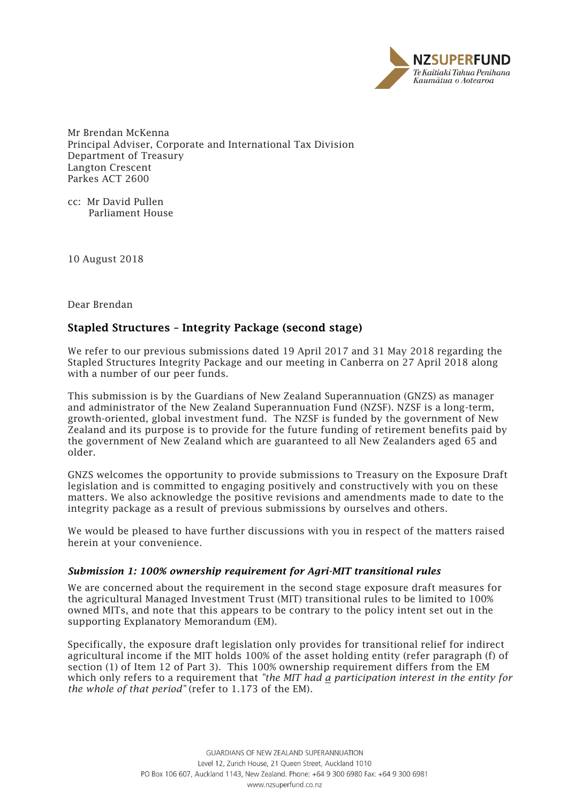

Mr Brendan McKenna Principal Adviser, Corporate and International Tax Division Department of Treasury Langton Crescent Parkes ACT 2600

cc: Mr David Pullen Parliament House

10 August 2018

Dear Brendan

# Stapled Structures – Integrity Package (second stage)

We refer to our previous submissions dated 19 April 2017 and 31 May 2018 regarding the Stapled Structures Integrity Package and our meeting in Canberra on 27 April 2018 along with a number of our peer funds.

This submission is by the Guardians of New Zealand Superannuation (GNZS) as manager and administrator of the New Zealand Superannuation Fund (NZSF). NZSF is a long-term, growth-oriented, global investment fund. The NZSF is funded by the government of New Zealand and its purpose is to provide for the future funding of retirement benefits paid by the government of New Zealand which are guaranteed to all New Zealanders aged 65 and older.

GNZS welcomes the opportunity to provide submissions to Treasury on the Exposure Draft legislation and is committed to engaging positively and constructively with you on these matters. We also acknowledge the positive revisions and amendments made to date to the integrity package as a result of previous submissions by ourselves and others.

We would be pleased to have further discussions with you in respect of the matters raised herein at your convenience.

## *Submission 1: 100% ownership requirement for Agri-MIT transitional rules*

We are concerned about the requirement in the second stage exposure draft measures for the agricultural Managed Investment Trust (MIT) transitional rules to be limited to 100% owned MITs, and note that this appears to be contrary to the policy intent set out in the supporting Explanatory Memorandum (EM).

Specifically, the exposure draft legislation only provides for transitional relief for indirect agricultural income if the MIT holds 100% of the asset holding entity (refer paragraph (f) of section (1) of Item 12 of Part 3). This 100% ownership requirement differs from the EM which only refers to a requirement that *"the MIT had a participation interest in the entity for the whole of that period"* (refer to 1.173 of the EM)*.*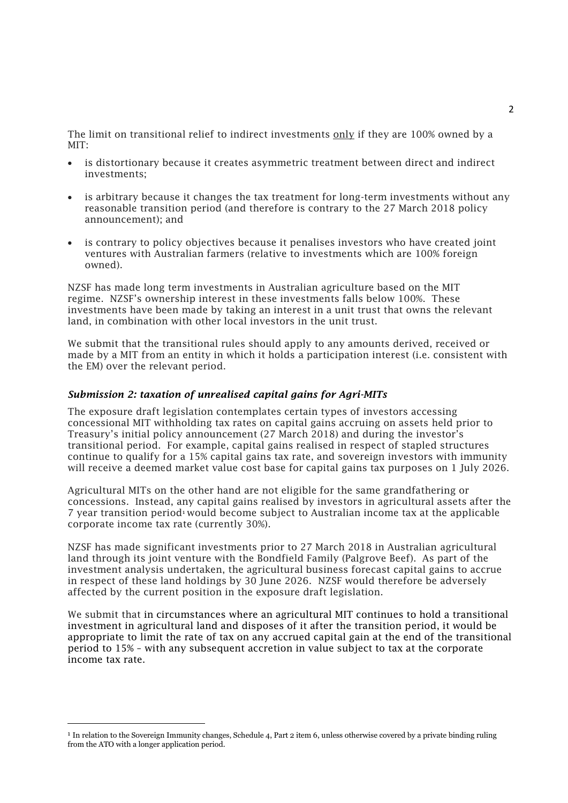The limit on transitional relief to indirect investments only if they are 100% owned by a MIT:

- is distortionary because it creates asymmetric treatment between direct and indirect investments;
- is arbitrary because it changes the tax treatment for long-term investments without any reasonable transition period (and therefore is contrary to the 27 March 2018 policy announcement); and
- is contrary to policy objectives because it penalises investors who have created joint ventures with Australian farmers (relative to investments which are 100% foreign owned).

NZSF has made long term investments in Australian agriculture based on the MIT regime. NZSF's ownership interest in these investments falls below 100%. These investments have been made by taking an interest in a unit trust that owns the relevant land, in combination with other local investors in the unit trust.

We submit that the transitional rules should apply to any amounts derived, received or made by a MIT from an entity in which it holds a participation interest (i.e. consistent with the EM) over the relevant period.

#### *Submission 2: taxation of unrealised capital gains for Agri-MITs*

The exposure draft legislation contemplates certain types of investors accessing concessional MIT withholding tax rates on capital gains accruing on assets held prior to Treasury's initial policy announcement (27 March 2018) and during the investor's transitional period. For example, capital gains realised in respect of stapled structures continue to qualify for a 15% capital gains tax rate, and sovereign investors with immunity will receive a deemed market value cost base for capital gains tax purposes on 1 July 2026.

Agricultural MITs on the other hand are not eligible for the same grandfathering or concessions. Instead, any capital gains realised by investors in agricultural assets after the 7 year transition period<sup>1</sup> would become subject to Australian income tax at the applicable corporate income tax rate (currently 30%).

NZSF has made significant investments prior to 27 March 2018 in Australian agricultural land through its joint venture with the Bondfield Family (Palgrove Beef). As part of the investment analysis undertaken, the agricultural business forecast capital gains to accrue in respect of these land holdings by 30 June 2026. NZSF would therefore be adversely affected by the current position in the exposure draft legislation.

We submit that in circumstances where an agricultural MIT continues to hold a transitional investment in agricultural land and disposes of it after the transition period, it would be appropriate to limit the rate of tax on any accrued capital gain at the end of the transitional period to 15% – with any subsequent accretion in value subject to tax at the corporate income tax rate.

l

<sup>&</sup>lt;sup>1</sup> In relation to the Sovereign Immunity changes, Schedule 4, Part 2 item 6, unless otherwise covered by a private binding ruling from the ATO with a longer application period.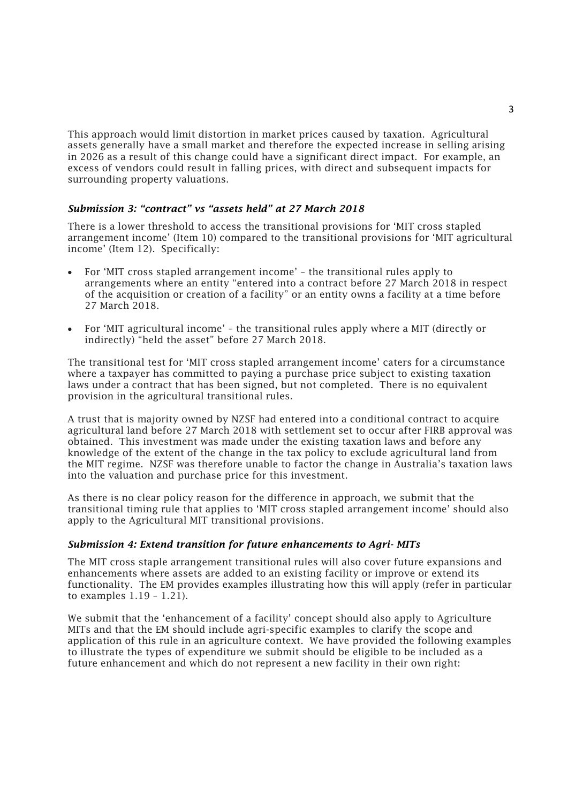This approach would limit distortion in market prices caused by taxation. Agricultural assets generally have a small market and therefore the expected increase in selling arising in 2026 as a result of this change could have a significant direct impact. For example, an excess of vendors could result in falling prices, with direct and subsequent impacts for surrounding property valuations.

## *Submission 3: "contract" vs "assets held" at 27 March 2018*

There is a lower threshold to access the transitional provisions for 'MIT cross stapled arrangement income' (Item 10) compared to the transitional provisions for 'MIT agricultural income' (Item 12). Specifically:

- For 'MIT cross stapled arrangement income' the transitional rules apply to arrangements where an entity "entered into a contract before 27 March 2018 in respect of the acquisition or creation of a facility" or an entity owns a facility at a time before 27 March 2018.
- For 'MIT agricultural income' the transitional rules apply where a MIT (directly or indirectly) "held the asset" before 27 March 2018.

The transitional test for 'MIT cross stapled arrangement income' caters for a circumstance where a taxpayer has committed to paying a purchase price subject to existing taxation laws under a contract that has been signed, but not completed. There is no equivalent provision in the agricultural transitional rules.

A trust that is majority owned by NZSF had entered into a conditional contract to acquire agricultural land before 27 March 2018 with settlement set to occur after FIRB approval was obtained. This investment was made under the existing taxation laws and before any knowledge of the extent of the change in the tax policy to exclude agricultural land from the MIT regime. NZSF was therefore unable to factor the change in Australia's taxation laws into the valuation and purchase price for this investment.

As there is no clear policy reason for the difference in approach, we submit that the transitional timing rule that applies to 'MIT cross stapled arrangement income' should also apply to the Agricultural MIT transitional provisions.

## *Submission 4: Extend transition for future enhancements to Agri- MITs*

The MIT cross staple arrangement transitional rules will also cover future expansions and enhancements where assets are added to an existing facility or improve or extend its functionality. The EM provides examples illustrating how this will apply (refer in particular to examples 1.19 – 1.21).

We submit that the 'enhancement of a facility' concept should also apply to Agriculture MITs and that the EM should include agri-specific examples to clarify the scope and application of this rule in an agriculture context. We have provided the following examples to illustrate the types of expenditure we submit should be eligible to be included as a future enhancement and which do not represent a new facility in their own right: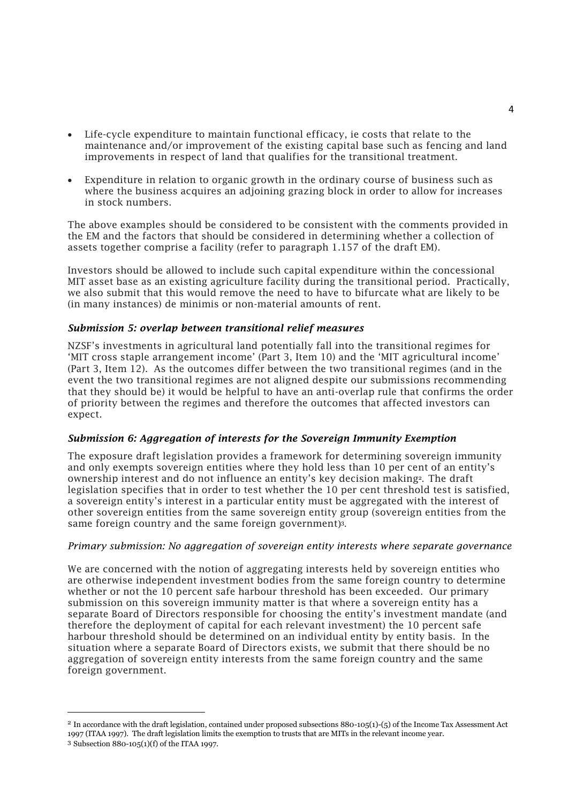- Life-cycle expenditure to maintain functional efficacy, ie costs that relate to the maintenance and/or improvement of the existing capital base such as fencing and land improvements in respect of land that qualifies for the transitional treatment.
- Expenditure in relation to organic growth in the ordinary course of business such as where the business acquires an adjoining grazing block in order to allow for increases in stock numbers.

The above examples should be considered to be consistent with the comments provided in the EM and the factors that should be considered in determining whether a collection of assets together comprise a facility (refer to paragraph 1.157 of the draft EM).

Investors should be allowed to include such capital expenditure within the concessional MIT asset base as an existing agriculture facility during the transitional period. Practically, we also submit that this would remove the need to have to bifurcate what are likely to be (in many instances) de minimis or non-material amounts of rent.

## *Submission 5: overlap between transitional relief measures*

NZSF's investments in agricultural land potentially fall into the transitional regimes for 'MIT cross staple arrangement income' (Part 3, Item 10) and the 'MIT agricultural income' (Part 3, Item 12). As the outcomes differ between the two transitional regimes (and in the event the two transitional regimes are not aligned despite our submissions recommending that they should be) it would be helpful to have an anti-overlap rule that confirms the order of priority between the regimes and therefore the outcomes that affected investors can expect.

## *Submission 6: Aggregation of interests for the Sovereign Immunity Exemption*

The exposure draft legislation provides a framework for determining sovereign immunity and only exempts sovereign entities where they hold less than 10 per cent of an entity's ownership interest and do not influence an entity's key decision making<sup>2</sup>. The draft legislation specifies that in order to test whether the 10 per cent threshold test is satisfied, a sovereign entity's interest in a particular entity must be aggregated with the interest of other sovereign entities from the same sovereign entity group (sovereign entities from the same foreign country and the same foreign government) 3 .

## *Primary submission: No aggregation of sovereign entity interests where separate governance*

We are concerned with the notion of aggregating interests held by sovereign entities who are otherwise independent investment bodies from the same foreign country to determine whether or not the 10 percent safe harbour threshold has been exceeded. Our primary submission on this sovereign immunity matter is that where a sovereign entity has a separate Board of Directors responsible for choosing the entity's investment mandate (and therefore the deployment of capital for each relevant investment) the 10 percent safe harbour threshold should be determined on an individual entity by entity basis. In the situation where a separate Board of Directors exists, we submit that there should be no aggregation of sovereign entity interests from the same foreign country and the same foreign government.

1

<sup>2</sup> In accordance with the draft legislation, contained under proposed subsections 880-105(1)-(5) of the Income Tax Assessment Act 1997 (ITAA 1997). The draft legislation limits the exemption to trusts that are MITs in the relevant income year. <sup>3</sup> Subsection 880-105(1)(f) of the ITAA 1997.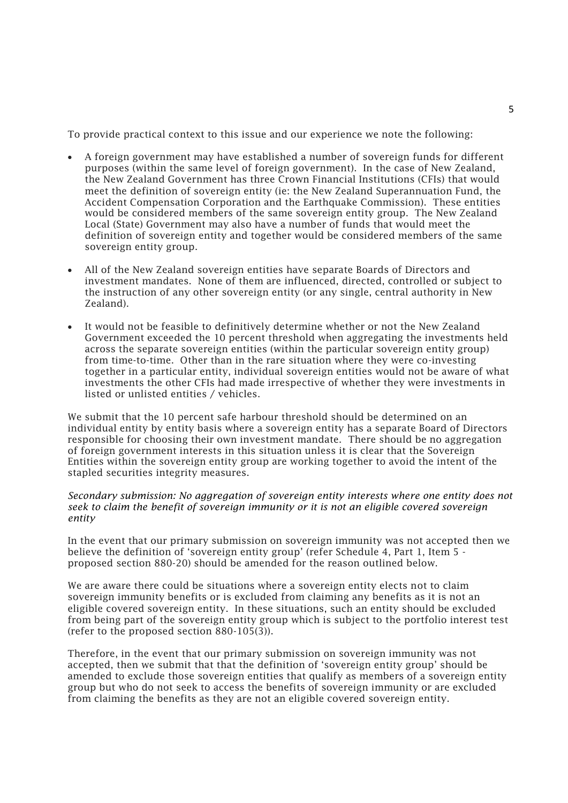To provide practical context to this issue and our experience we note the following:

- A foreign government may have established a number of sovereign funds for different purposes (within the same level of foreign government). In the case of New Zealand, the New Zealand Government has three Crown Financial Institutions (CFIs) that would meet the definition of sovereign entity (ie: the New Zealand Superannuation Fund, the Accident Compensation Corporation and the Earthquake Commission). These entities would be considered members of the same sovereign entity group. The New Zealand Local (State) Government may also have a number of funds that would meet the definition of sovereign entity and together would be considered members of the same sovereign entity group.
- All of the New Zealand sovereign entities have separate Boards of Directors and investment mandates. None of them are influenced, directed, controlled or subject to the instruction of any other sovereign entity (or any single, central authority in New Zealand).
- It would not be feasible to definitively determine whether or not the New Zealand Government exceeded the 10 percent threshold when aggregating the investments held across the separate sovereign entities (within the particular sovereign entity group) from time-to-time. Other than in the rare situation where they were co-investing together in a particular entity, individual sovereign entities would not be aware of what investments the other CFIs had made irrespective of whether they were investments in listed or unlisted entities / vehicles.

We submit that the 10 percent safe harbour threshold should be determined on an individual entity by entity basis where a sovereign entity has a separate Board of Directors responsible for choosing their own investment mandate. There should be no aggregation of foreign government interests in this situation unless it is clear that the Sovereign Entities within the sovereign entity group are working together to avoid the intent of the stapled securities integrity measures.

#### *Secondary submission: No aggregation of sovereign entity interests where one entity does not seek to claim the benefit of sovereign immunity or it is not an eligible covered sovereign entity*

In the event that our primary submission on sovereign immunity was not accepted then we believe the definition of 'sovereign entity group' (refer Schedule 4, Part 1, Item 5 proposed section 880-20) should be amended for the reason outlined below.

We are aware there could be situations where a sovereign entity elects not to claim sovereign immunity benefits or is excluded from claiming any benefits as it is not an eligible covered sovereign entity. In these situations, such an entity should be excluded from being part of the sovereign entity group which is subject to the portfolio interest test (refer to the proposed section 880-105(3)).

Therefore, in the event that our primary submission on sovereign immunity was not accepted, then we submit that that the definition of 'sovereign entity group' should be amended to exclude those sovereign entities that qualify as members of a sovereign entity group but who do not seek to access the benefits of sovereign immunity or are excluded from claiming the benefits as they are not an eligible covered sovereign entity.